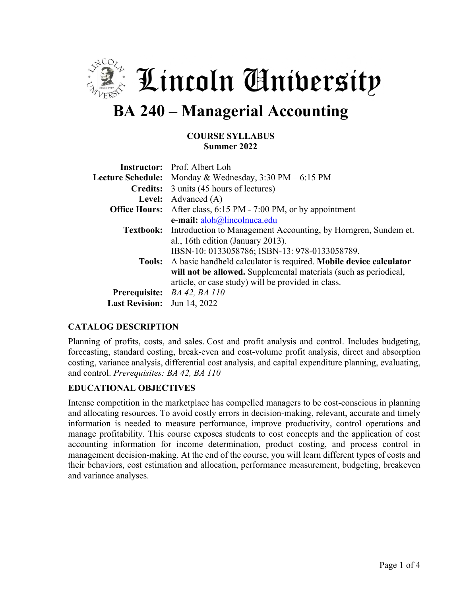

 $\frac{1}{2}$  Lincoln Anibersity

# **BA 240 – Managerial Accounting**

#### **COURSE SYLLABUS Summer 2022**

|                                    | <b>Instructor:</b> Prof. Albert Loh                                             |
|------------------------------------|---------------------------------------------------------------------------------|
|                                    | Lecture Schedule: Monday & Wednesday, 3:30 PM – 6:15 PM                         |
|                                    | <b>Credits:</b> 3 units (45 hours of lectures)                                  |
|                                    | Level: Advanced (A)                                                             |
|                                    | <b>Office Hours:</b> After class, 6:15 PM - 7:00 PM, or by appointment          |
|                                    | e-mail: aloh@lincolnuca.edu                                                     |
|                                    | <b>Textbook:</b> Introduction to Management Accounting, by Horngren, Sundem et. |
|                                    | al., 16th edition (January 2013).                                               |
|                                    | IBSN-10: 0133058786; ISBN-13: 978-0133058789.                                   |
|                                    | Tools: A basic handheld calculator is required. Mobile device calculator        |
|                                    | will not be allowed. Supplemental materials (such as periodical,                |
|                                    | article, or case study) will be provided in class.                              |
|                                    | Prerequisite: BA 42, BA 110                                                     |
| <b>Last Revision:</b> Jun 14, 2022 |                                                                                 |

### **CATALOG DESCRIPTION**

Planning of profits, costs, and sales. Cost and profit analysis and control. Includes budgeting, forecasting, standard costing, break-even and cost-volume profit analysis, direct and absorption costing, variance analysis, differential cost analysis, and capital expenditure planning, evaluating, and control. *Prerequisites: BA 42, BA 110*

### **EDUCATIONAL OBJECTIVES**

Intense competition in the marketplace has compelled managers to be cost-conscious in planning and allocating resources. To avoid costly errors in decision-making, relevant, accurate and timely information is needed to measure performance, improve productivity, control operations and manage profitability. This course exposes students to cost concepts and the application of cost accounting information for income determination, product costing, and process control in management decision-making. At the end of the course, you will learn different types of costs and their behaviors, cost estimation and allocation, performance measurement, budgeting, breakeven and variance analyses.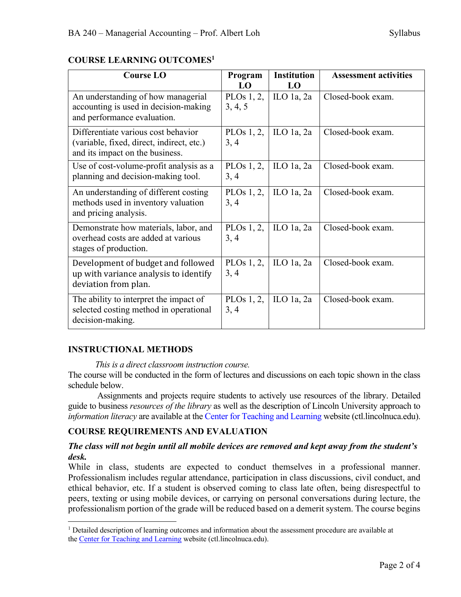## **COURSE LEARNING OUTCOMES1**

| <b>Course LO</b>                                                                                                    | Program               | <b>Institution</b> | <b>Assessment activities</b> |
|---------------------------------------------------------------------------------------------------------------------|-----------------------|--------------------|------------------------------|
|                                                                                                                     | LO                    | LO                 |                              |
| An understanding of how managerial<br>accounting is used in decision-making<br>and performance evaluation.          | PLOs 1, 2,<br>3, 4, 5 | ILO $1a$ , $2a$    | Closed-book exam.            |
| Differentiate various cost behavior<br>(variable, fixed, direct, indirect, etc.)<br>and its impact on the business. | PLOs 1, 2,<br>3, 4    | ILO 1a, $2a$       | Closed-book exam.            |
| Use of cost-volume-profit analysis as a<br>planning and decision-making tool.                                       | PLOs $1, 2,$<br>3, 4  | ILO 1a, $2a$       | Closed-book exam.            |
| An understanding of different costing<br>methods used in inventory valuation<br>and pricing analysis.               | PLOs $1, 2,$<br>3, 4  | ILO $1a$ , $2a$    | Closed-book exam.            |
| Demonstrate how materials, labor, and<br>overhead costs are added at various<br>stages of production.               | PLOs $1, 2,$<br>3, 4  | ILO $1a$ , $2a$    | Closed-book exam.            |
| Development of budget and followed<br>up with variance analysis to identify<br>deviation from plan.                 | PLOs $1, 2,$<br>3, 4  | ILO 1a, $2a$       | Closed-book exam.            |
| The ability to interpret the impact of<br>selected costing method in operational<br>decision-making.                | PLOs $1, 2,$<br>3, 4  | ILO 1a, $2a$       | Closed-book exam.            |

## **INSTRUCTIONAL METHODS**

*This is a direct classroom instruction course.* 

The course will be conducted in the form of lectures and discussions on each topic shown in the class schedule below.

Assignments and projects require students to actively use resources of the library. Detailed guide to business *resources of the library* as well as the description of Lincoln University approach to *information literacy* are available at the Center for Teaching and Learning website (ctl.lincolnuca.edu).

## **COURSE REQUIREMENTS AND EVALUATION**

### *The class will not begin until all mobile devices are removed and kept away from the student's desk.*

While in class, students are expected to conduct themselves in a professional manner. Professionalism includes regular attendance, participation in class discussions, civil conduct, and ethical behavior, etc. If a student is observed coming to class late often, being disrespectful to peers, texting or using mobile devices, or carrying on personal conversations during lecture, the professionalism portion of the grade will be reduced based on a demerit system. The course begins

 $<sup>1</sup>$  Detailed description of learning outcomes and information about the assessment procedure are available at</sup> the Center for Teaching and Learning website (ctl.lincolnuca.edu).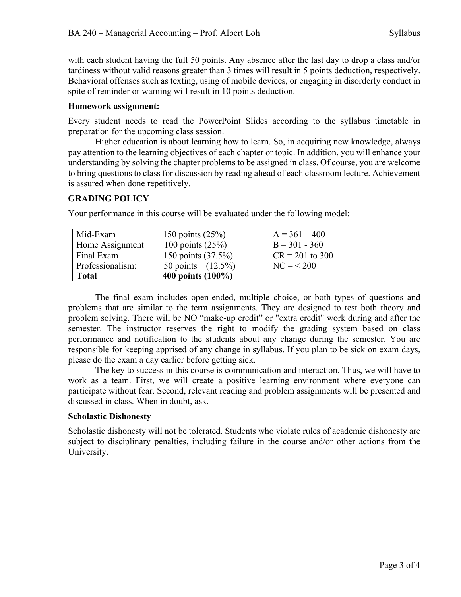with each student having the full 50 points. Any absence after the last day to drop a class and/or tardiness without valid reasons greater than 3 times will result in 5 points deduction, respectively. Behavioral offenses such as texting, using of mobile devices, or engaging in disorderly conduct in spite of reminder or warning will result in 10 points deduction.

### **Homework assignment:**

Every student needs to read the PowerPoint Slides according to the syllabus timetable in preparation for the upcoming class session.

Higher education is about learning how to learn. So, in acquiring new knowledge, always pay attention to the learning objectives of each chapter or topic. In addition, you will enhance your understanding by solving the chapter problems to be assigned in class. Of course, you are welcome to bring questions to class for discussion by reading ahead of each classroom lecture. Achievement is assured when done repetitively.

### **GRADING POLICY**

Your performance in this course will be evaluated under the following model:

| Mid-Exam         | 150 points $(25%)$   | $A = 361 - 400$   |
|------------------|----------------------|-------------------|
| Home Assignment  | 100 points $(25%)$   | $B = 301 - 360$   |
| Final Exam       | 150 points (37.5%)   | $CR = 201$ to 300 |
| Professionalism: | 50 points $(12.5\%)$ | $NC = 200$        |
| <b>Total</b>     | 400 points $(100\%)$ |                   |

The final exam includes open-ended, multiple choice, or both types of questions and problems that are similar to the term assignments. They are designed to test both theory and problem solving. There will be NO "make-up credit" or "extra credit" work during and after the semester. The instructor reserves the right to modify the grading system based on class performance and notification to the students about any change during the semester. You are responsible for keeping apprised of any change in syllabus. If you plan to be sick on exam days, please do the exam a day earlier before getting sick.

The key to success in this course is communication and interaction. Thus, we will have to work as a team. First, we will create a positive learning environment where everyone can participate without fear. Second, relevant reading and problem assignments will be presented and discussed in class. When in doubt, ask.

### **Scholastic Dishonesty**

Scholastic dishonesty will not be tolerated. Students who violate rules of academic dishonesty are subject to disciplinary penalties, including failure in the course and/or other actions from the University.